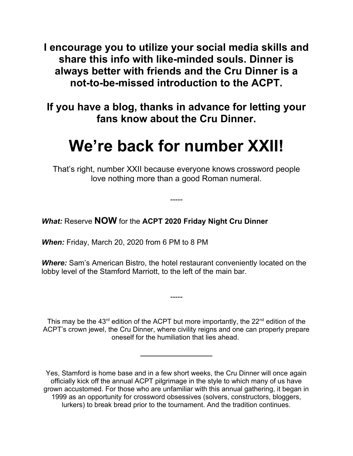**I encourage you to utilize your social media skills and share this info with like-minded souls. Dinner is always better with friends and the Cru Dinner is a not-to-be-missed introduction to the ACPT.**

**If you have a blog, thanks in advance for letting your fans know about the Cru Dinner.** 

# **We're back for number XXII!**

That's right, number XXII because everyone knows crossword people love nothing more than a good Roman numeral.

-----

## *What:* Reserve **NOW** for the **ACPT 2020 Friday Night Cru Dinner**

*When:* Friday, March 20, 2020 from 6 PM to 8 PM

*Where:* Sam's American Bistro, the hotel restaurant conveniently located on the lobby level of the Stamford Marriott, to the left of the main bar.

This may be the  $43<sup>rd</sup>$  edition of the ACPT but more importantly, the  $22<sup>nd</sup>$  edition of the ACPT's crown jewel, the Cru Dinner, where civility reigns and one can properly prepare oneself for the humiliation that lies ahead.

 $\overline{\phantom{a}}$ 

-----

Yes, Stamford is home base and in a few short weeks, the Cru Dinner will once again officially kick off the annual ACPT pilgrimage in the style to which many of us have grown accustomed. For those who are unfamiliar with this annual gathering, it began in 1999 as an opportunity for crossword obsessives (solvers, constructors, bloggers, lurkers) to break bread prior to the tournament. And the tradition continues.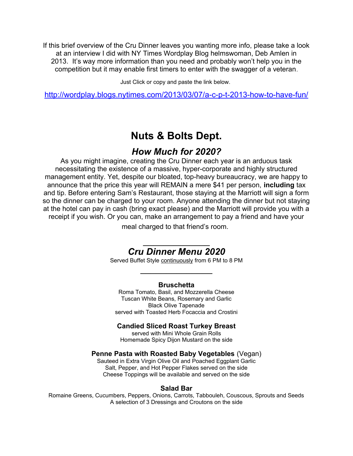If this brief overview of the Cru Dinner leaves you wanting more info, please take a look at an interview I did with NY Times Wordplay Blog helmswoman, Deb Amlen in 2013. It's way more information than you need and probably won't help you in the competition but it may enable first timers to enter with the swagger of a veteran.

Just Click or copy and paste the link below.

http://wordplay.blogs.nytimes.com/2013/03/07/a-c-p-t-2013-how-to-have-fun/

# **Nuts & Bolts Dept.**

## *How Much for 2020?*

As you might imagine, creating the Cru Dinner each year is an arduous task necessitating the existence of a massive, hyper-corporate and highly structured management entity. Yet, despite our bloated, top-heavy bureaucracy, we are happy to announce that the price this year will REMAIN a mere \$41 per person, **including** tax and tip. Before entering Sam's Restaurant, those staying at the Marriott will sign a form so the dinner can be charged to your room. Anyone attending the dinner but not staying at the hotel can pay in cash (bring exact please) and the Marriott will provide you with a receipt if you wish. Or you can, make an arrangement to pay a friend and have your

meal charged to that friend's room.

## $\overline{\phantom{a}}$ *Cru Dinner Menu 2020*

Served Buffet Style continuously from 6 PM to 8 PM  $\overline{\phantom{a}}$ 

#### **Bruschetta**

Roma Tomato, Basil, and Mozzerella Cheese Tuscan White Beans, Rosemary and Garlic Black Olive Tapenade served with Toasted Herb Focaccia and Crostini

#### **Candied Sliced Roast Turkey Breast**

served with Mini Whole Grain Rolls Homemade Spicy Dijon Mustard on the side

#### **Penne Pasta with Roasted Baby Vegetables** (Vegan)

Sauteed in Extra Virgin Olive Oil and Poached Eggplant Garlic Salt, Pepper, and Hot Pepper Flakes served on the side Cheese Toppings will be available and served on the side

#### **Salad Bar**

Romaine Greens, Cucumbers, Peppers, Onions, Carrots, Tabbouleh, Couscous, Sprouts and Seeds A selection of 3 Dressings and Croutons on the side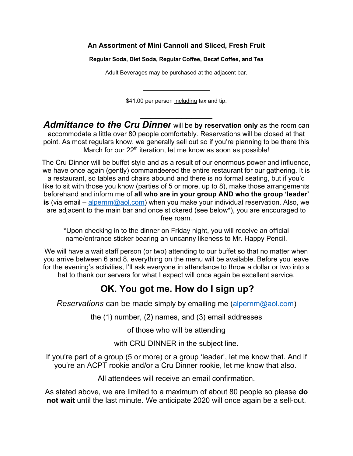#### **An Assortment of Mini Cannoli and Sliced, Fresh Fruit**

**Regular Soda, Diet Soda, Regular Coffee, Decaf Coffee, and Tea**

Adult Beverages may be purchased at the adjacent bar.

 $\overline{\phantom{a}}$ 

\$41.00 per person including tax and tip.

 $\overline{\phantom{a}}$ 

*Admittance to the Cru Dinner* will be **by reservation only** as the room can accommodate a little over 80 people comfortably. Reservations will be closed at that point. As most regulars know, we generally sell out so if you're planning to be there this March for our  $22<sup>th</sup>$  iteration, let me know as soon as possible!

The Cru Dinner will be buffet style and as a result of our enormous power and influence, we have once again (gently) commandeered the entire restaurant for our gathering. It is a restaurant, so tables and chairs abound and there is no formal seating, but if you'd like to sit with those you know (parties of 5 or more, up to 8), make those arrangements beforehand and inform me of **all who are in your group AND who the group 'leader' is** (via email – [alpernm@aol.com\)](mailto:alpernm@aol.com) when you make your individual reservation. Also, we are adjacent to the main bar and once stickered (see below\*), you are encouraged to free roam.

\*Upon checking in to the dinner on Friday night, you will receive an official name/entrance sticker bearing an uncanny likeness to Mr. Happy Pencil.

We will have a wait staff person (or two) attending to our buffet so that no matter when you arrive between 6 and 8, everything on the menu will be available. Before you leave for the evening's activities, I'll ask everyone in attendance to throw a dollar or two into a hat to thank our servers for what I expect will once again be excellent service.

# **OK. You got me. How do I sign up?**

*Reservations* can be made simply by emailing me [\(alpernm@aol.com\)](mailto:alpernm@aol.com)

the (1) number, (2) names, and (3) email addresses

of those who will be attending

with CRU DINNER in the subject line.

If you're part of a group (5 or more) or a group 'leader', let me know that. And if you're an ACPT rookie and/or a Cru Dinner rookie, let me know that also.

All attendees will receive an email confirmation.

As stated above, we are limited to a maximum of about 80 people so please **do not wait** until the last minute. We anticipate 2020 will once again be a sell-out.